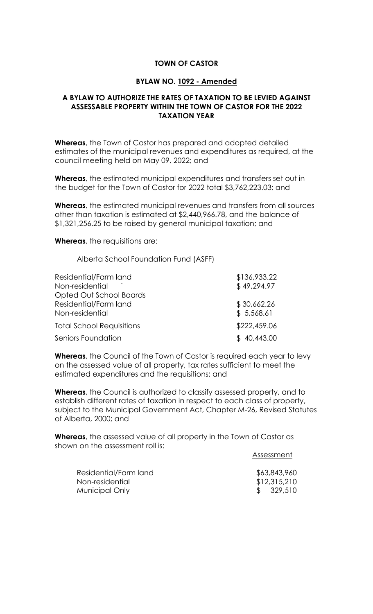## **TOWN OF CASTOR**

## **BYLAW NO. 1092 - Amended**

## **A BYLAW TO AUTHORIZE THE RATES OF TAXATION TO BE LEVIED AGAINST ASSESSABLE PROPERTY WITHIN THE TOWN OF CASTOR FOR THE 2022 TAXATION YEAR**

**Whereas**, the Town of Castor has prepared and adopted detailed estimates of the municipal revenues and expenditures as required, at the council meeting held on May 09, 2022; and

**Whereas**, the estimated municipal expenditures and transfers set out in the budget for the Town of Castor for 2022 total \$3,762,223.03; and

**Whereas**, the estimated municipal revenues and transfers from all sources other than taxation is estimated at \$2,440,966.78, and the balance of \$1,321,256.25 to be raised by general municipal taxation; and

**Whereas**, the requisitions are:

Alberta School Foundation Fund (ASFF)

| Residential/Farm land<br>Non-residential<br>Opted Out School Boards | \$136,933.22<br>\$49,294.97 |
|---------------------------------------------------------------------|-----------------------------|
| Residential/Farm land<br>Non-residential                            | \$30,662.26<br>\$5,568.61   |
| <b>Total School Requisitions</b>                                    | \$222,459.06                |
| Seniors Foundation                                                  | \$40,443.00                 |

**Whereas**, the Council of the Town of Castor is required each year to levy on the assessed value of all property, tax rates sufficient to meet the estimated expenditures and the requisitions; and

**Whereas**, the Council is authorized to classify assessed property, and to establish different rates of taxation in respect to each class of property, subject to the Municipal Government Act, Chapter M-26, Revised Statutes of Alberta, 2000; and

**Whereas**, the assessed value of all property in the Town of Castor as shown on the assessment roll is:

| \$63,843,960 |
|--------------|
| \$12,315,210 |
| \$329,510    |
|              |

Assessment